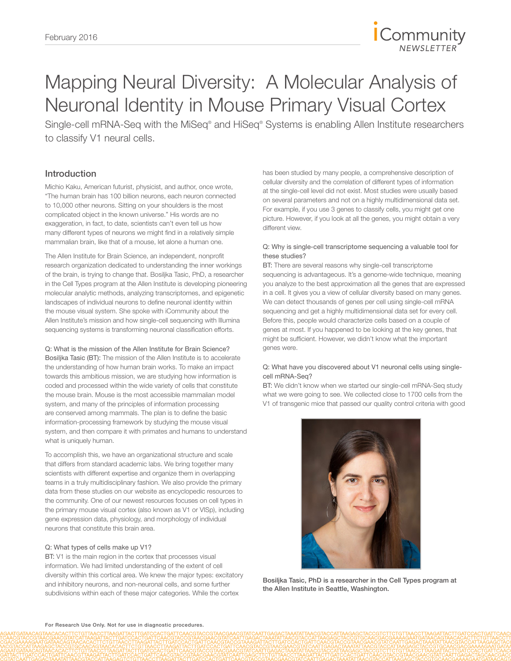

# Mapping Neural Diversity: A Molecular Analysis of Neuronal Identity in Mouse Primary Visual Cortex

Single-cell mRNA-Seq with the MiSeq® and HiSeq® Systems is enabling Allen Institute researchers to classify V1 neural cells.

## Introduction

Michio Kaku, American futurist, physicist, and author, once wrote, "The human brain has 100 billion neurons, each neuron connected to 10,000 other neurons. Sitting on your shoulders is the most complicated object in the known universe." His words are no exaggeration, in fact, to date, scientists can't even tell us how many different types of neurons we might find in a relatively simple mammalian brain, like that of a mouse, let alone a human one.

The Allen Institute for Brain Science, an independent, nonprofit research organization dedicated to understanding the inner workings of the brain, is trying to change that. Bosiljka Tasic, PhD, a researcher in the Cell Types program at the Allen Institute is developing pioneering molecular analytic methods, analyzing transcriptomes, and epigenetic landscapes of individual neurons to define neuronal identity within the mouse visual system. She spoke with iCommunity about the Allen Institute's mission and how single-cell sequencing with Illumina sequencing systems is transforming neuronal classification efforts.

Q: What is the mission of the Allen Institute for Brain Science? Bosiljka Tasic (BT): The mission of the Allen Institute is to accelerate the understanding of how human brain works. To make an impact towards this ambitious mission, we are studying how information is coded and processed within the wide variety of cells that constitute the mouse brain. Mouse is the most accessible mammalian model system, and many of the principles of information processing are conserved among mammals. The plan is to define the basic information-processing framework by studying the mouse visual system, and then compare it with primates and humans to understand what is uniquely human.

To accomplish this, we have an organizational structure and scale that differs from standard academic labs. We bring together many scientists with different expertise and organize them in overlapping teams in a truly multidisciplinary fashion. We also provide the primary data from these studies on our website as encyclopedic resources to the community. One of our newest resources focuses on cell types in the primary mouse visual cortex (also known as V1 or VISp), including gene expression data, physiology, and morphology of individual neurons that constitute this brain area.

#### Q: What types of cells make up V1?

BT: V1 is the main region in the cortex that processes visual information. We had limited understanding of the extent of cell diversity within this cortical area. We knew the major types: excitatory and inhibitory neurons, and non-neuronal cells, and some further subdivisions within each of these major categories. While the cortex

has been studied by many people, a comprehensive description of cellular diversity and the correlation of different types of information at the single-cell level did not exist. Most studies were usually based on several parameters and not on a highly multidimensional data set. For example, if you use 3 genes to classify cells, you might get one picture. However, if you look at all the genes, you might obtain a very different view.

#### Q: Why is single-cell transcriptome sequencing a valuable tool for these studies?

BT: There are several reasons why single-cell transcriptome sequencing is advantageous. It's a genome-wide technique, meaning you analyze to the best approximation all the genes that are expressed in a cell. It gives you a view of cellular diversity based on many genes. We can detect thousands of genes per cell using single-cell mRNA sequencing and get a highly multidimensional data set for every cell. Before this, people would characterize cells based on a couple of genes at most. If you happened to be looking at the key genes, that might be sufficient. However, we didn't know what the important genes were.

#### Q: What have you discovered about V1 neuronal cells using singlecell mRNA-Seq?

BT: We didn't know when we started our single-cell mRNA-Seq study what we were going to see. We collected close to 1700 cells from the V1 of transgenic mice that passed our quality control criteria with good



Bosiljka Tasic, PhD is a researcher in the Cell Types program at the Allen Institute in Seattle, Washington.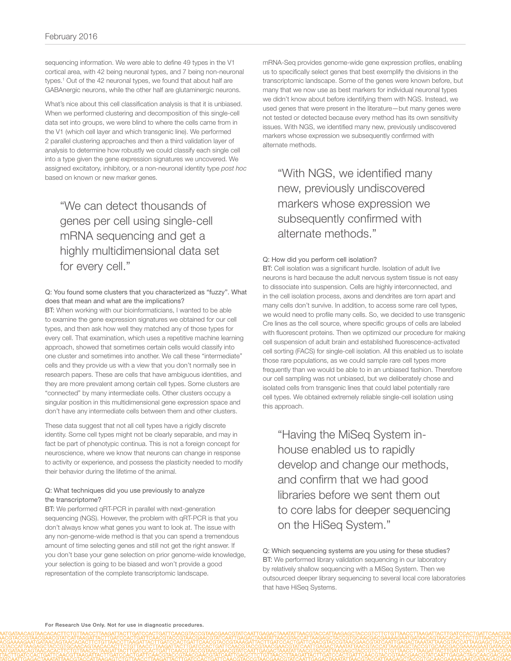sequencing information. We were able to define 49 types in the V1 cortical area, with 42 being neuronal types, and 7 being non-neuronal types.<sup>1</sup> Out of the 42 neuronal types, we found that about half are GABAnergic neurons, while the other half are glutaminergic neurons.

What's nice about this cell classification analysis is that it is unbiased. When we performed clustering and decomposition of this single-cell data set into groups, we were blind to where the cells came from in the V1 (which cell layer and which transgenic line). We performed 2 parallel clustering approaches and then a third validation layer of analysis to determine how robustly we could classify each single cell into a type given the gene expression signatures we uncovered. We assigned excitatory, inhibitory, or a non-neuronal identity type *post hoc* based on known or new marker genes.

# "We can detect thousands of genes per cell using single-cell mRNA sequencing and get a highly multidimensional data set for every cell."

#### Q: You found some clusters that you characterized as "fuzzy". What does that mean and what are the implications?

BT: When working with our bioinformaticians, I wanted to be able to examine the gene expression signatures we obtained for our cell types, and then ask how well they matched any of those types for every cell. That examination, which uses a repetitive machine learning approach, showed that sometimes certain cells would classify into one cluster and sometimes into another. We call these "intermediate" cells and they provide us with a view that you don't normally see in research papers. These are cells that have ambiguous identities, and they are more prevalent among certain cell types. Some clusters are "connected" by many intermediate cells. Other clusters occupy a singular position in this multidimensional gene expression space and don't have any intermediate cells between them and other clusters.

These data suggest that not all cell types have a rigidly discrete identity. Some cell types might not be clearly separable, and may in fact be part of phenotypic continua. This is not a foreign concept for neuroscience, where we know that neurons can change in response to activity or experience, and possess the plasticity needed to modify their behavior during the lifetime of the animal.

#### Q: What techniques did you use previously to analyze the transcriptome?

BT: We performed qRT-PCR in parallel with next-generation sequencing (NGS). However, the problem with qRT-PCR is that you don't always know what genes you want to look at. The issue with any non-genome-wide method is that you can spend a tremendous amount of time selecting genes and still not get the right answer. If you don't base your gene selection on prior genome-wide knowledge, your selection is going to be biased and won't provide a good representation of the complete transcriptomic landscape.

mRNA-Seq provides genome-wide gene expression profiles, enabling us to specifically select genes that best exemplify the divisions in the transcriptomic landscape. Some of the genes were known before, but many that we now use as best markers for individual neuronal types we didn't know about before identifying them with NGS. Instead, we used genes that were present in the literature—but many genes were not tested or detected because every method has its own sensitivity issues. With NGS, we identified many new, previously undiscovered markers whose expression we subsequently confirmed with alternate methods.

## "With NGS, we identified many new, previously undiscovered markers whose expression we subsequently confirmed with alternate methods."

#### Q: How did you perform cell isolation?

BT: Cell isolation was a significant hurdle. Isolation of adult live neurons is hard because the adult nervous system tissue is not easy to dissociate into suspension. Cells are highly interconnected, and in the cell isolation process, axons and dendrites are torn apart and many cells don't survive. In addition, to access some rare cell types, we would need to profile many cells. So, we decided to use transgenic Cre lines as the cell source, where specific groups of cells are labeled with fluorescent proteins. Then we optimized our procedure for making cell suspension of adult brain and established fluorescence-activated cell sorting (FACS) for single-cell isolation. All this enabled us to isolate those rare populations, as we could sample rare cell types more frequently than we would be able to in an unbiased fashion. Therefore our cell sampling was not unbiased, but we deliberately chose and isolated cells from transgenic lines that could label potentially rare cell types. We obtained extremely reliable single-cell isolation using this approach.

"Having the MiSeq System inhouse enabled us to rapidly develop and change our methods, and confirm that we had good libraries before we sent them out to core labs for deeper sequencing on the HiSeq System."

Q: Which sequencing systems are you using for these studies? BT: We performed library validation sequencing in our laboratory by relatively shallow sequencing with a MiSeq System. Then we outsourced deeper library sequencing to several local core laboratories that have HiSeq Systems.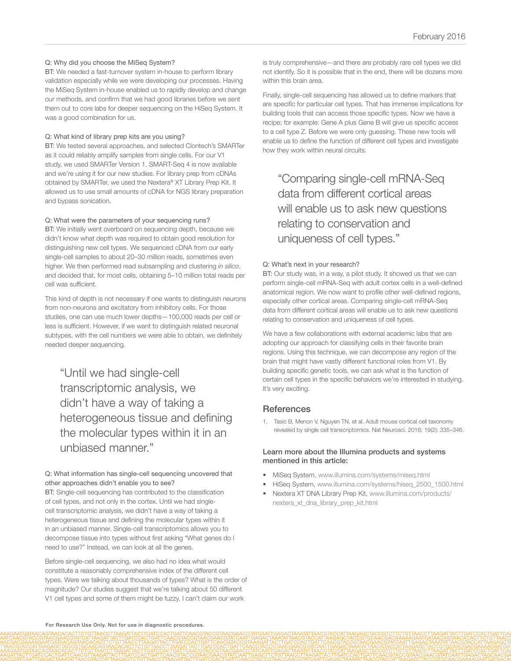#### Q: Why did you choose the MiSeq System?

BT: We needed a fast-turnover system in-house to perform library validation especially while we were developing our processes. Having the MiSeq System in-house enabled us to rapidly develop and change our methods, and confirm that we had good libraries before we sent them out to core labs for deeper sequencing on the HiSeq System. It was a good combination for us.

#### Q: What kind of library prep kits are you using?

BT: We tested several approaches, and selected Clontech's SMARTer as it could reliably amplify samples from single cells. For our V1 study, we used SMARTer Version 1. SMART-Seq 4 is now available and we're using it for our new studies. For library prep from cDNAs obtained by SMARTer, we used the Nextera® XT Library Prep Kit. It allowed us to use small amounts of cDNA for NGS library preparation and bypass sonication.

#### Q: What were the parameters of your sequencing runs?

BT: We initially went overboard on sequencing depth, because we didn't know what depth was required to obtain good resolution for distinguishing new cell types. We sequenced cDNA from our early single-cell samples to about 20–30 million reads, sometimes even higher. We then performed read subsampling and clustering *in silico*, and decided that, for most cells, obtaining 5–10 million total reads per cell was sufficient.

This kind of depth is not necessary if one wants to distinguish neurons from non-neurons and excitatory from inhibitory cells. For those studies, one can use much lower depths—100,000 reads per cell or less is sufficient. However, if we want to distinguish related neuronal subtypes, with the cell numbers we were able to obtain, we definitely needed deeper sequencing.

"Until we had single-cell transcriptomic analysis, we didn't have a way of taking a heterogeneous tissue and defining the molecular types within it in an unbiased manner."

#### Q: What information has single-cell sequencing uncovered that other approaches didn't enable you to see?

BT: Single-cell sequencing has contributed to the classification of cell types, and not only in the cortex. Until we had singlecell transcriptomic analysis, we didn't have a way of taking a heterogeneous tissue and defining the molecular types within it in an unbiased manner. Single-cell transcriptomics allows you to decompose tissue into types without first asking "What genes do I need to use?" Instead, we can look at all the genes.

Before single-cell sequencing, we also had no idea what would constitute a reasonably comprehensive index of the different cell types. Were we talking about thousands of types? What is the order of magnitude? Our studies suggest that we're talking about 50 different V1 cell types and some of them might be fuzzy. I can't claim our work

is truly comprehensive—and there are probably rare cell types we did not identify. So it is possible that in the end, there will be dozens more within this brain area.

Finally, single-cell sequencing has allowed us to define markers that are specific for particular cell types. That has immense implications for building tools that can access those specific types. Now we have a recipe; for example: Gene A plus Gene B will give us specific access to a cell type Z. Before we were only guessing. These new tools will enable us to define the function of different cell types and investigate how they work within neural circuits.

"Comparing single-cell mRNA-Seq data from different cortical areas will enable us to ask new questions relating to conservation and uniqueness of cell types."

#### Q: What's next in your research?

BT: Our study was, in a way, a pilot study. It showed us that we can perform single-cell mRNA-Seq with adult cortex cells in a well-defined anatomical region. We now want to profile other well-defined regions, especially other cortical areas. Comparing single-cell mRNA-Seq data from different cortical areas will enable us to ask new questions relating to conservation and uniqueness of cell types.

We have a few collaborations with external academic labs that are adopting our approach for classifying cells in their favorite brain regions. Using this technique, we can decompose any region of the brain that might have vastly different functional roles from V1. By building specific genetic tools, we can ask what is the function of certain cell types in the specific behaviors we're interested in studying. It's very exciting.

### **References**

1. [Tasic B, Menon V, Nguyen TN, et al. Adult mouse cortical cell taxonomy](http://www.ncbi.nlm.nih.gov/pubmed/26727548)  [revealed by single cell transcriptomics. Nat Neurosci. 2016; 19\(2\): 335–346.](http://www.ncbi.nlm.nih.gov/pubmed/26727548) 

#### Learn more about the Illumina products and systems mentioned in this article:

- [MiSeq System, www.illumina.com/systems/miseq.html](http://www.illumina.com/systems/miseq.html)
- [HiSeq System, www.illumina.com/systems/hiseq\\_2500\\_1500.html](http://www.illumina.com/systems/hiseq_2500_1500.html)
- [Nextera XT DNA Library Prep Kit, www.illumina.com/products/](http://www.illumina.com/products/nextera_xt_dna_library_prep_kit.html) [nextera\\_xt\\_dna\\_library\\_prep\\_kit.html](http://www.illumina.com/products/nextera_xt_dna_library_prep_kit.html)